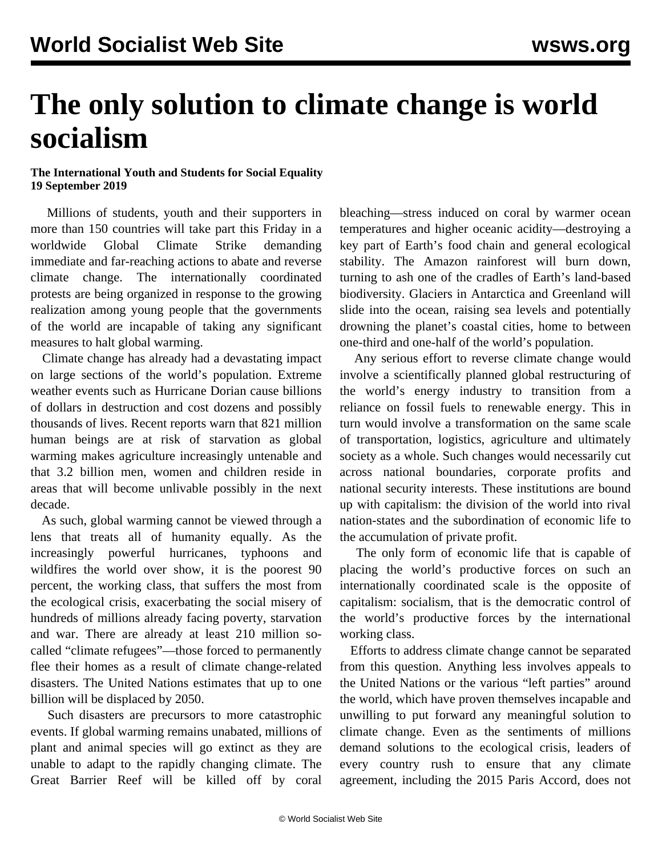## **The only solution to climate change is world socialism**

## **The International Youth and Students for Social Equality 19 September 2019**

 Millions of students, youth and their supporters in more than 150 countries will take part this Friday in a worldwide Global Climate Strike demanding immediate and far-reaching actions to abate and reverse climate change. The internationally coordinated protests are being organized in response to the growing realization among young people that the governments of the world are incapable of taking any significant measures to halt global warming.

 Climate change has already had a devastating impact on large sections of the world's population. Extreme weather events such as Hurricane Dorian cause billions of dollars in destruction and cost dozens and possibly thousands of lives. Recent reports warn that 821 million human beings are at risk of starvation as global warming makes agriculture increasingly untenable and that 3.2 billion men, women and children reside in areas that will become unlivable possibly in the next decade.

 As such, global warming cannot be viewed through a lens that treats all of humanity equally. As the increasingly powerful hurricanes, typhoons and wildfires the world over show, it is the poorest 90 percent, the working class, that suffers the most from the ecological crisis, exacerbating the social misery of hundreds of millions already facing poverty, starvation and war. There are already at least 210 million socalled "climate refugees"—those forced to permanently flee their homes as a result of climate change-related disasters. The United Nations estimates that up to one billion will be displaced by 2050.

 Such disasters are precursors to more catastrophic events. If global warming remains unabated, millions of plant and animal species will go extinct as they are unable to adapt to the rapidly changing climate. The Great Barrier Reef will be killed off by coral bleaching—stress induced on coral by warmer ocean temperatures and higher oceanic acidity—destroying a key part of Earth's food chain and general ecological stability. The Amazon rainforest will burn down, turning to ash one of the cradles of Earth's land-based biodiversity. Glaciers in Antarctica and Greenland will slide into the ocean, raising sea levels and potentially drowning the planet's coastal cities, home to between one-third and one-half of the world's population.

 Any serious effort to reverse climate change would involve a scientifically planned global restructuring of the world's energy industry to transition from a reliance on fossil fuels to renewable energy. This in turn would involve a transformation on the same scale of transportation, logistics, agriculture and ultimately society as a whole. Such changes would necessarily cut across national boundaries, corporate profits and national security interests. These institutions are bound up with capitalism: the division of the world into rival nation-states and the subordination of economic life to the accumulation of private profit.

 The only form of economic life that is capable of placing the world's productive forces on such an internationally coordinated scale is the opposite of capitalism: socialism, that is the democratic control of the world's productive forces by the international working class.

 Efforts to address climate change cannot be separated from this question. Anything less involves appeals to the United Nations or the various "left parties" around the world, which have proven themselves incapable and unwilling to put forward any meaningful solution to climate change. Even as the sentiments of millions demand solutions to the ecological crisis, leaders of every country rush to ensure that any climate agreement, including the 2015 Paris Accord, does not